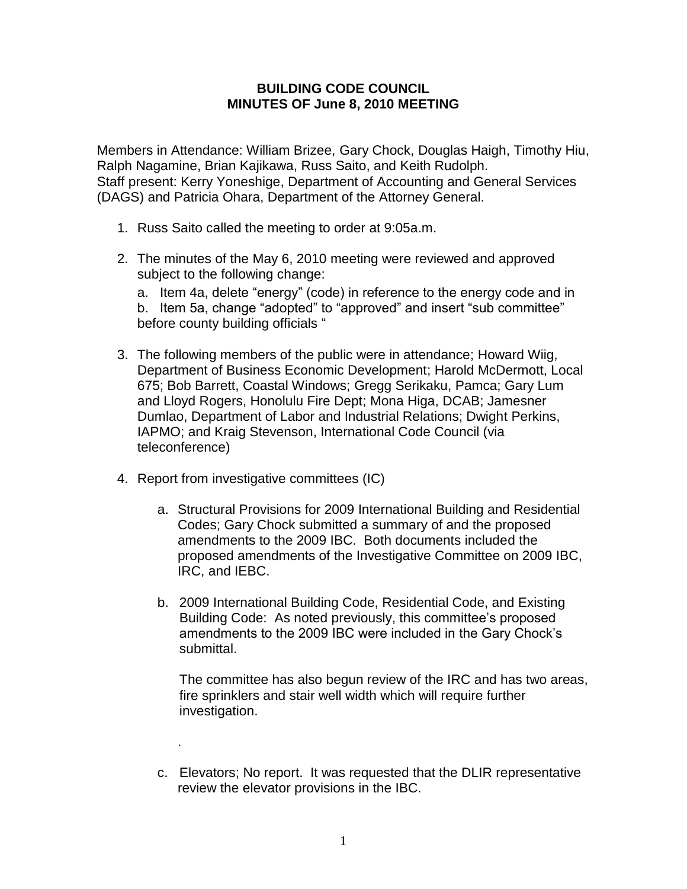## **BUILDING CODE COUNCIL MINUTES OF June 8, 2010 MEETING**

Members in Attendance: William Brizee, Gary Chock, Douglas Haigh, Timothy Hiu, Ralph Nagamine, Brian Kajikawa, Russ Saito, and Keith Rudolph. Staff present: Kerry Yoneshige, Department of Accounting and General Services (DAGS) and Patricia Ohara, Department of the Attorney General.

- 1. Russ Saito called the meeting to order at 9:05a.m.
- 2. The minutes of the May 6, 2010 meeting were reviewed and approved subject to the following change:
	- a. Item 4a, delete "energy" (code) in reference to the energy code and in
	- b. Item 5a, change "adopted" to "approved" and insert "sub committee" before county building officials "
- 3. The following members of the public were in attendance; Howard Wiig, Department of Business Economic Development; Harold McDermott, Local 675; Bob Barrett, Coastal Windows; Gregg Serikaku, Pamca; Gary Lum and Lloyd Rogers, Honolulu Fire Dept; Mona Higa, DCAB; Jamesner Dumlao, Department of Labor and Industrial Relations; Dwight Perkins, IAPMO; and Kraig Stevenson, International Code Council (via teleconference)
- 4. Report from investigative committees (IC)

.

- a. Structural Provisions for 2009 International Building and Residential Codes; Gary Chock submitted a summary of and the proposed amendments to the 2009 IBC. Both documents included the proposed amendments of the Investigative Committee on 2009 IBC, IRC, and IEBC.
- b. 2009 International Building Code, Residential Code, and Existing Building Code: As noted previously, this committee's proposed amendments to the 2009 IBC were included in the Gary Chock's submittal.

The committee has also begun review of the IRC and has two areas, fire sprinklers and stair well width which will require further investigation.

c. Elevators; No report. It was requested that the DLIR representative review the elevator provisions in the IBC.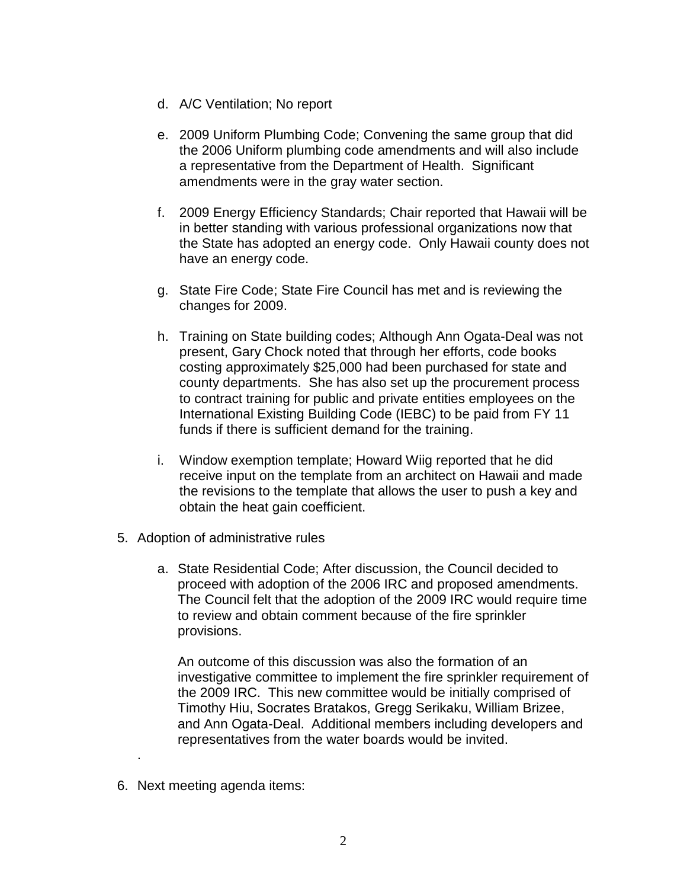- d. A/C Ventilation; No report
- e. 2009 Uniform Plumbing Code; Convening the same group that did the 2006 Uniform plumbing code amendments and will also include a representative from the Department of Health. Significant amendments were in the gray water section.
- f. 2009 Energy Efficiency Standards; Chair reported that Hawaii will be in better standing with various professional organizations now that the State has adopted an energy code. Only Hawaii county does not have an energy code.
- g. State Fire Code; State Fire Council has met and is reviewing the changes for 2009.
- h. Training on State building codes; Although Ann Ogata-Deal was not present, Gary Chock noted that through her efforts, code books costing approximately \$25,000 had been purchased for state and county departments. She has also set up the procurement process to contract training for public and private entities employees on the International Existing Building Code (IEBC) to be paid from FY 11 funds if there is sufficient demand for the training.
- i. Window exemption template; Howard Wiig reported that he did receive input on the template from an architect on Hawaii and made the revisions to the template that allows the user to push a key and obtain the heat gain coefficient.
- 5. Adoption of administrative rules
	- a. State Residential Code; After discussion, the Council decided to proceed with adoption of the 2006 IRC and proposed amendments. The Council felt that the adoption of the 2009 IRC would require time to review and obtain comment because of the fire sprinkler provisions.

An outcome of this discussion was also the formation of an investigative committee to implement the fire sprinkler requirement of the 2009 IRC. This new committee would be initially comprised of Timothy Hiu, Socrates Bratakos, Gregg Serikaku, William Brizee, and Ann Ogata-Deal. Additional members including developers and representatives from the water boards would be invited.

6. Next meeting agenda items:

.